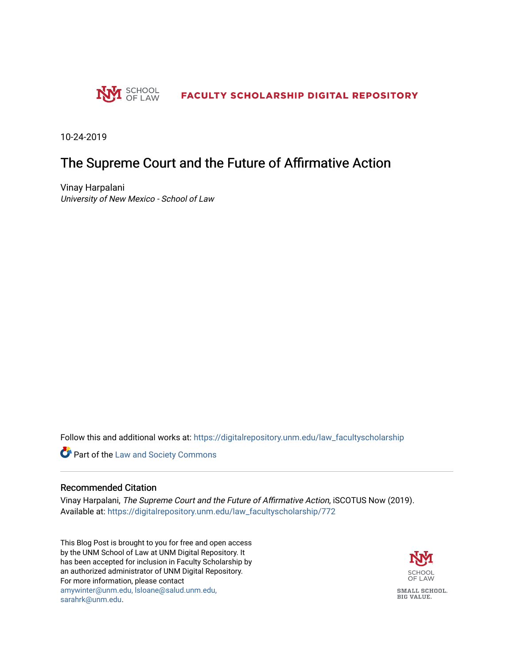

10-24-2019

### The Supreme Court and the Future of Affirmative Action

Vinay Harpalani University of New Mexico - School of Law

Follow this and additional works at: [https://digitalrepository.unm.edu/law\\_facultyscholarship](https://digitalrepository.unm.edu/law_facultyscholarship?utm_source=digitalrepository.unm.edu%2Flaw_facultyscholarship%2F772&utm_medium=PDF&utm_campaign=PDFCoverPages) 

Part of the [Law and Society Commons](http://network.bepress.com/hgg/discipline/853?utm_source=digitalrepository.unm.edu%2Flaw_facultyscholarship%2F772&utm_medium=PDF&utm_campaign=PDFCoverPages)

#### Recommended Citation

Vinay Harpalani, The Supreme Court and the Future of Affirmative Action, iSCOTUS Now (2019). Available at: [https://digitalrepository.unm.edu/law\\_facultyscholarship/772](https://digitalrepository.unm.edu/law_facultyscholarship/772?utm_source=digitalrepository.unm.edu%2Flaw_facultyscholarship%2F772&utm_medium=PDF&utm_campaign=PDFCoverPages) 

This Blog Post is brought to you for free and open access by the UNM School of Law at UNM Digital Repository. It has been accepted for inclusion in Faculty Scholarship by an authorized administrator of UNM Digital Repository. For more information, please contact [amywinter@unm.edu, lsloane@salud.unm.edu,](mailto:amywinter@unm.edu,%20lsloane@salud.unm.edu,%20sarahrk@unm.edu)  [sarahrk@unm.edu.](mailto:amywinter@unm.edu,%20lsloane@salud.unm.edu,%20sarahrk@unm.edu)

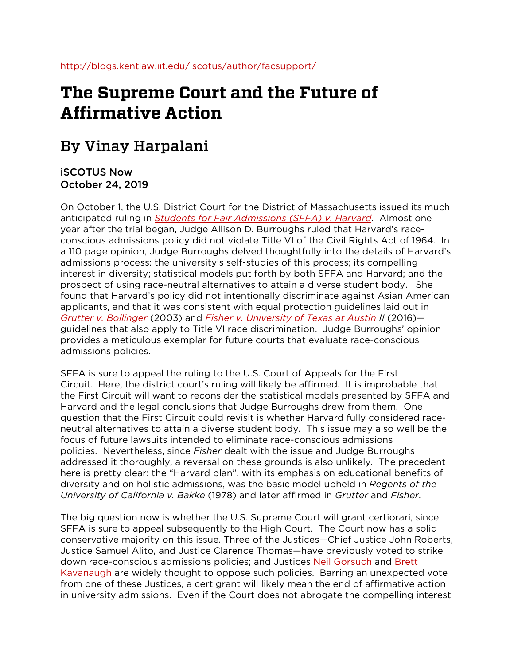# **The Supreme Court and the Future of Affirmative Action**

## By Vinay Harpalani

### iSCOTUS Now October 24, 2019

On October 1, the U.S. District Court for the District of Massachusetts issued its much anticipated ruling in *[Students for Fair Admissions \(SFFA\) v. Harvard](https://admissionscase.harvard.edu/files/adm-case/files/2019-10-30_dkt_672_findings_of_fact_and_conclusions_of_law.pdf)*. Almost one year after the trial began, Judge Allison D. Burroughs ruled that Harvard's raceconscious admissions policy did not violate Title VI of the Civil Rights Act of 1964. In a 110 page opinion, Judge Burroughs delved thoughtfully into the details of Harvard's admissions process: the university's self-studies of this process; its compelling interest in diversity; statistical models put forth by both SFFA and Harvard; and the prospect of using race-neutral alternatives to attain a diverse student body. She found that Harvard's policy did not intentionally discriminate against Asian American applicants, and that it was consistent with equal protection guidelines laid out in *[Grutter v. Bollinger](https://www.oyez.org/cases/2002/02-241)* (2003) and *[Fisher v. University of Texas at Austin](https://www.oyez.org/cases/2015/14-981) II* (2016) guidelines that also apply to Title VI race discrimination. Judge Burroughs' opinion provides a meticulous exemplar for future courts that evaluate race-conscious admissions policies.

SFFA is sure to appeal the ruling to the U.S. Court of Appeals for the First Circuit. Here, the district court's ruling will likely be affirmed. It is improbable that the First Circuit will want to reconsider the statistical models presented by SFFA and Harvard and the legal conclusions that Judge Burroughs drew from them. One question that the First Circuit could revisit is whether Harvard fully considered raceneutral alternatives to attain a diverse student body. This issue may also well be the focus of future lawsuits intended to eliminate race-conscious admissions policies. Nevertheless, since *Fisher* dealt with the issue and Judge Burroughs addressed it thoroughly, a reversal on these grounds is also unlikely. The precedent here is pretty clear: the "Harvard plan", with its emphasis on educational benefits of diversity and on holistic admissions, was the basic model upheld in *Regents of the University of California v. Bakke* (1978) and later affirmed in *Grutter* and *Fisher*.

The big question now is whether the U.S. Supreme Court will grant certiorari, since SFFA is sure to appeal subsequently to the High Court. The Court now has a solid conservative majority on this issue. Three of the Justices—Chief Justice John Roberts, Justice Samuel Alito, and Justice Clarence Thomas—have previously voted to strike down race-conscious admissions policies; and Justices [Neil Gorsuch](https://www.washingtonpost.com/posteverything/wp/2017/04/03/neil-gorsuch-got-where-he-is-because-of-a-form-of-affirmative-action/) and [Brett](https://yaledailynews.com/blog/2018/10/15/kavanaugh-poses-a-potential-threat-for-affirmative-action-experts-say/)  [Kavanaugh](https://yaledailynews.com/blog/2018/10/15/kavanaugh-poses-a-potential-threat-for-affirmative-action-experts-say/) are widely thought to oppose such policies. Barring an unexpected vote from one of these Justices, a cert grant will likely mean the end of affirmative action in university admissions. Even if the Court does not abrogate the compelling interest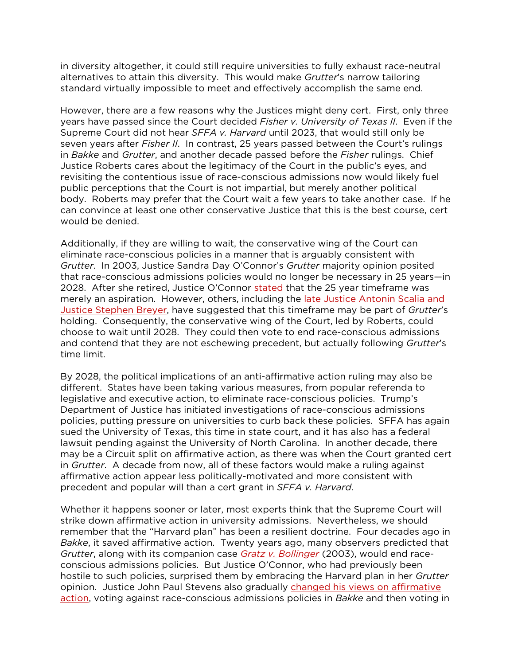in diversity altogether, it could still require universities to fully exhaust race-neutral alternatives to attain this diversity. This would make *Grutter*'s narrow tailoring standard virtually impossible to meet and effectively accomplish the same end.

However, there are a few reasons why the Justices might deny cert. First, only three years have passed since the Court decided *Fisher v. University of Texas II*. Even if the Supreme Court did not hear *SFFA v. Harvard* until 2023, that would still only be seven years after *Fisher II*. In contrast, 25 years passed between the Court's rulings in *Bakke* and *Grutter*, and another decade passed before the *Fisher* rulings. Chief Justice Roberts cares about the legitimacy of the Court in the public's eyes, and revisiting the contentious issue of race-conscious admissions now would likely fuel public perceptions that the Court is not impartial, but merely another political body. Roberts may prefer that the Court wait a few years to take another case. If he can convince at least one other conservative Justice that this is the best course, cert would be denied.

Additionally, if they are willing to wait, the conservative wing of the Court can eliminate race-conscious policies in a manner that is arguably consistent with *Grutter*. In 2003, Justice Sandra Day O'Connor's *Grutter* majority opinion posited that race-conscious admissions policies would no longer be necessary in 25 years—in 2028. After she retired, Justice O'Connor [stated](https://scholarship.law.cornell.edu/cgi/viewcontent.cgi?article=1819&context=facpub) that the 25 year timeframe was merely an aspiration. However, others, including the late Justice Antonin Scalia and [Justice Stephen Breyer,](https://www.supremecourt.gov/oral_arguments/argument_transcripts/2012/11-345.pdf) have suggested that this timeframe may be part of *Grutter*'s holding. Consequently, the conservative wing of the Court, led by Roberts, could choose to wait until 2028. They could then vote to end race-conscious admissions and contend that they are not eschewing precedent, but actually following *Grutter*'s time limit.

By 2028, the political implications of an anti-affirmative action ruling may also be different. States have been taking various measures, from popular referenda to legislative and executive action, to eliminate race-conscious policies. Trump's Department of Justice has initiated investigations of race-conscious admissions policies, putting pressure on universities to curb back these policies. SFFA has again sued the University of Texas, this time in state court, and it has also has a federal lawsuit pending against the University of North Carolina. In another decade, there may be a Circuit split on affirmative action, as there was when the Court granted cert in *Grutter*. A decade from now, all of these factors would make a ruling against affirmative action appear less politically-motivated and more consistent with precedent and popular will than a cert grant in *SFFA v. Harvard*.

Whether it happens sooner or later, most experts think that the Supreme Court will strike down affirmative action in university admissions. Nevertheless, we should remember that the "Harvard plan" has been a resilient doctrine. Four decades ago in *Bakke*, it saved affirmative action. Twenty years ago, many observers predicted that *Grutter*, along with its companion case *[Gratz v. Bollinger](https://www.oyez.org/cases/2002/02-516)* (2003), would end raceconscious admissions policies. But Justice O'Connor, who had previously been hostile to such policies, surprised them by embracing the Harvard plan in her *Grutter* opinion. Justice John Paul Stevens also gradually [changed his views on affirmative](https://www.nytimes.com/2019/07/16/us/john-paul-stevens-dead.html)  [action,](https://www.nytimes.com/2019/07/16/us/john-paul-stevens-dead.html) voting against race-conscious admissions policies in *Bakke* and then voting in